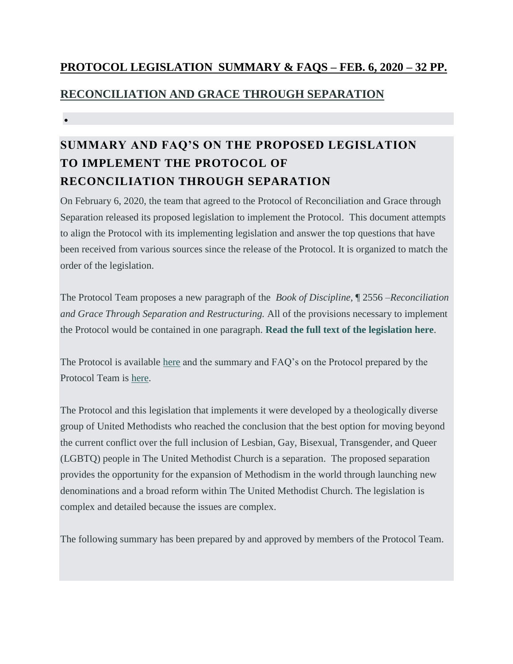## **PROTOCOL LEGISLATION SUMMARY & FAQS – FEB. 6, 2020 – 32 PP.**

## **[RECONCILIATION AND GRACE THROUGH SEPARATION](https://www.gracethroughseparation.com/)**

 $\bullet$ 

# **SUMMARY AND FAQ'S ON THE PROPOSED LEGISLATION TO IMPLEMENT THE PROTOCOL OF RECONCILIATION THROUGH SEPARATION**

On February 6, 2020, the team that agreed to the Protocol of Reconciliation and Grace through Separation released its proposed legislation to implement the Protocol. This document attempts to align the Protocol with its implementing legislation and answer the top questions that have been received from various sources since the release of the Protocol. It is organized to match the order of the legislation.

The Protocol Team proposes a new paragraph of the *Book of Discipline,* ¶ 2556 –*Reconciliation and Grace Through Separation and Restructuring.* All of the provisions necessary to implement the Protocol would be contained in one paragraph. **[Read the full text of the legislation here](https://www.gracethroughseparation.com/legislation)**.

The Protocol is available [here](https://www.gracethroughseparation.com/the-agreement) and the summary and FAQ's on the Protocol prepared by the Protocol Team is [here.](https://www.gracethroughseparation.com/faqs)

The Protocol and this legislation that implements it were developed by a theologically diverse group of United Methodists who reached the conclusion that the best option for moving beyond the current conflict over the full inclusion of Lesbian, Gay, Bisexual, Transgender, and Queer (LGBTQ) people in The United Methodist Church is a separation. The proposed separation provides the opportunity for the expansion of Methodism in the world through launching new denominations and a broad reform within The United Methodist Church. The legislation is complex and detailed because the issues are complex.

The following summary has been prepared by and approved by members of the Protocol Team.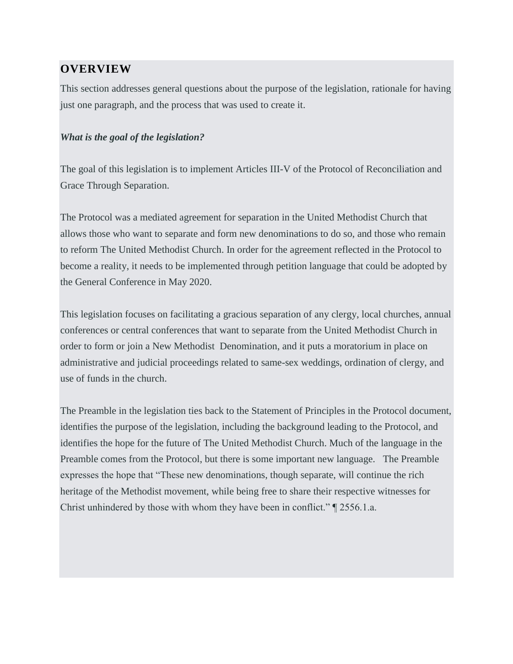### **OVERVIEW**

This section addresses general questions about the purpose of the legislation, rationale for having just one paragraph, and the process that was used to create it.

#### *What is the goal of the legislation?*

The goal of this legislation is to implement Articles III-V of the Protocol of Reconciliation and Grace Through Separation.

The Protocol was a mediated agreement for separation in the United Methodist Church that allows those who want to separate and form new denominations to do so, and those who remain to reform The United Methodist Church. In order for the agreement reflected in the Protocol to become a reality, it needs to be implemented through petition language that could be adopted by the General Conference in May 2020.

This legislation focuses on facilitating a gracious separation of any clergy, local churches, annual conferences or central conferences that want to separate from the United Methodist Church in order to form or join a New Methodist Denomination, and it puts a moratorium in place on administrative and judicial proceedings related to same-sex weddings, ordination of clergy, and use of funds in the church.

The Preamble in the legislation ties back to the Statement of Principles in the Protocol document, identifies the purpose of the legislation, including the background leading to the Protocol, and identifies the hope for the future of The United Methodist Church. Much of the language in the Preamble comes from the Protocol, but there is some important new language. The Preamble expresses the hope that "These new denominations, though separate, will continue the rich heritage of the Methodist movement, while being free to share their respective witnesses for Christ unhindered by those with whom they have been in conflict." ¶ 2556.1.a.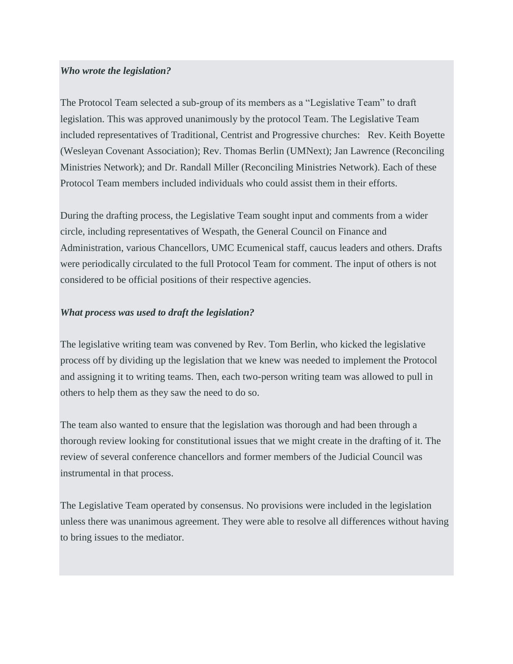#### *Who wrote the legislation?*

The Protocol Team selected a sub-group of its members as a "Legislative Team" to draft legislation. This was approved unanimously by the protocol Team. The Legislative Team included representatives of Traditional, Centrist and Progressive churches: Rev. Keith Boyette (Wesleyan Covenant Association); Rev. Thomas Berlin (UMNext); Jan Lawrence (Reconciling Ministries Network); and Dr. Randall Miller (Reconciling Ministries Network). Each of these Protocol Team members included individuals who could assist them in their efforts.

During the drafting process, the Legislative Team sought input and comments from a wider circle, including representatives of Wespath, the General Council on Finance and Administration, various Chancellors, UMC Ecumenical staff, caucus leaders and others. Drafts were periodically circulated to the full Protocol Team for comment. The input of others is not considered to be official positions of their respective agencies.

#### *What process was used to draft the legislation?*

The legislative writing team was convened by Rev. Tom Berlin, who kicked the legislative process off by dividing up the legislation that we knew was needed to implement the Protocol and assigning it to writing teams. Then, each two-person writing team was allowed to pull in others to help them as they saw the need to do so.

The team also wanted to ensure that the legislation was thorough and had been through a thorough review looking for constitutional issues that we might create in the drafting of it. The review of several conference chancellors and former members of the Judicial Council was instrumental in that process.

The Legislative Team operated by consensus. No provisions were included in the legislation unless there was unanimous agreement. They were able to resolve all differences without having to bring issues to the mediator.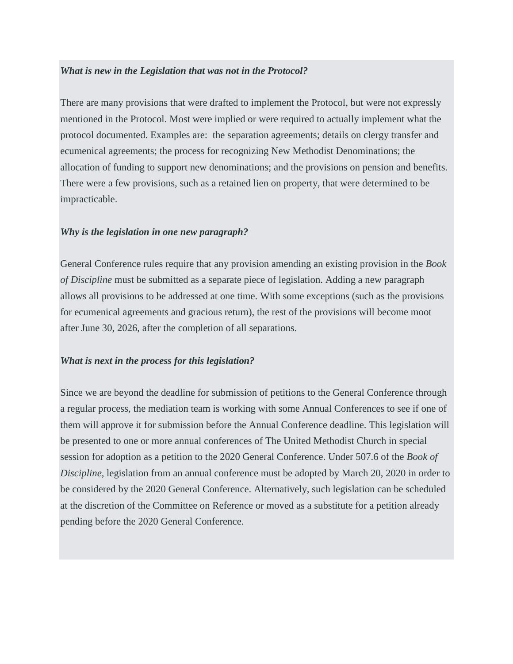#### *What is new in the Legislation that was not in the Protocol?*

There are many provisions that were drafted to implement the Protocol, but were not expressly mentioned in the Protocol. Most were implied or were required to actually implement what the protocol documented. Examples are: the separation agreements; details on clergy transfer and ecumenical agreements; the process for recognizing New Methodist Denominations; the allocation of funding to support new denominations; and the provisions on pension and benefits. There were a few provisions, such as a retained lien on property, that were determined to be impracticable.

#### *Why is the legislation in one new paragraph?*

General Conference rules require that any provision amending an existing provision in the *Book of Discipline* must be submitted as a separate piece of legislation. Adding a new paragraph allows all provisions to be addressed at one time. With some exceptions (such as the provisions for ecumenical agreements and gracious return), the rest of the provisions will become moot after June 30, 2026, after the completion of all separations.

#### *What is next in the process for this legislation?*

Since we are beyond the deadline for submission of petitions to the General Conference through a regular process, the mediation team is working with some Annual Conferences to see if one of them will approve it for submission before the Annual Conference deadline. This legislation will be presented to one or more annual conferences of The United Methodist Church in special session for adoption as a petition to the 2020 General Conference. Under 507.6 of the *Book of Discipline*, legislation from an annual conference must be adopted by March 20, 2020 in order to be considered by the 2020 General Conference. Alternatively, such legislation can be scheduled at the discretion of the Committee on Reference or moved as a substitute for a petition already pending before the 2020 General Conference.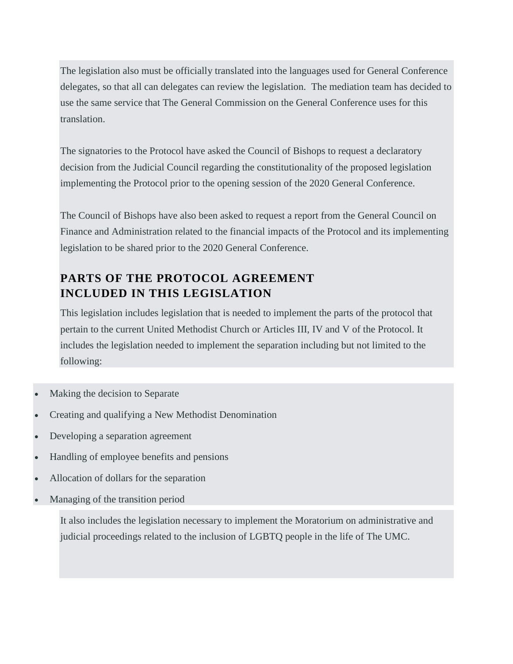The legislation also must be officially translated into the languages used for General Conference delegates, so that all can delegates can review the legislation. The mediation team has decided to use the same service that The General Commission on the General Conference uses for this translation.

The signatories to the Protocol have asked the Council of Bishops to request a declaratory decision from the Judicial Council regarding the constitutionality of the proposed legislation implementing the Protocol prior to the opening session of the 2020 General Conference.

The Council of Bishops have also been asked to request a report from the General Council on Finance and Administration related to the financial impacts of the Protocol and its implementing legislation to be shared prior to the 2020 General Conference.

# **PARTS OF THE PROTOCOL AGREEMENT INCLUDED IN THIS LEGISLATION**

This legislation includes legislation that is needed to implement the parts of the protocol that pertain to the current United Methodist Church or Articles III, IV and V of the Protocol. It includes the legislation needed to implement the separation including but not limited to the following:

- Making the decision to Separate
- Creating and qualifying a New Methodist Denomination
- Developing a separation agreement
- Handling of employee benefits and pensions
- Allocation of dollars for the separation
- Managing of the transition period

It also includes the legislation necessary to implement the Moratorium on administrative and judicial proceedings related to the inclusion of LGBTQ people in the life of The UMC.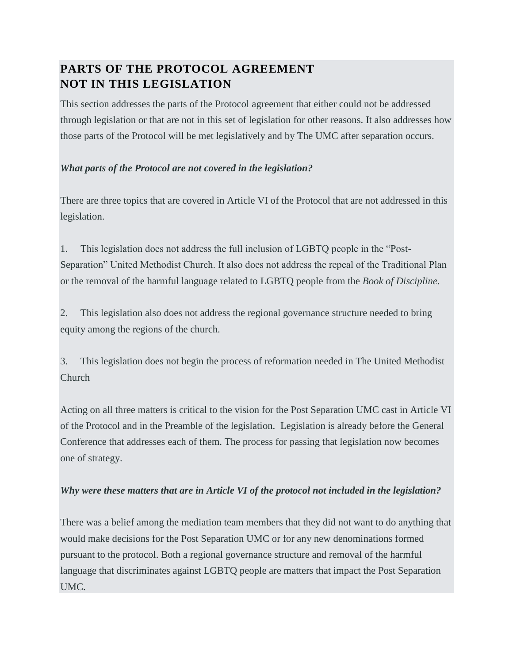# **PARTS OF THE PROTOCOL AGREEMENT NOT IN THIS LEGISLATION**

This section addresses the parts of the Protocol agreement that either could not be addressed through legislation or that are not in this set of legislation for other reasons. It also addresses how those parts of the Protocol will be met legislatively and by The UMC after separation occurs.

### *What parts of the Protocol are not covered in the legislation?*

There are three topics that are covered in Article VI of the Protocol that are not addressed in this legislation.

1. This legislation does not address the full inclusion of LGBTQ people in the "Post-Separation" United Methodist Church. It also does not address the repeal of the Traditional Plan or the removal of the harmful language related to LGBTQ people from the *Book of Discipline*.

2. This legislation also does not address the regional governance structure needed to bring equity among the regions of the church.

3. This legislation does not begin the process of reformation needed in The United Methodist Church

Acting on all three matters is critical to the vision for the Post Separation UMC cast in Article VI of the Protocol and in the Preamble of the legislation. Legislation is already before the General Conference that addresses each of them. The process for passing that legislation now becomes one of strategy.

### *Why were these matters that are in Article VI of the protocol not included in the legislation?*

There was a belief among the mediation team members that they did not want to do anything that would make decisions for the Post Separation UMC or for any new denominations formed pursuant to the protocol. Both a regional governance structure and removal of the harmful language that discriminates against LGBTQ people are matters that impact the Post Separation UMC.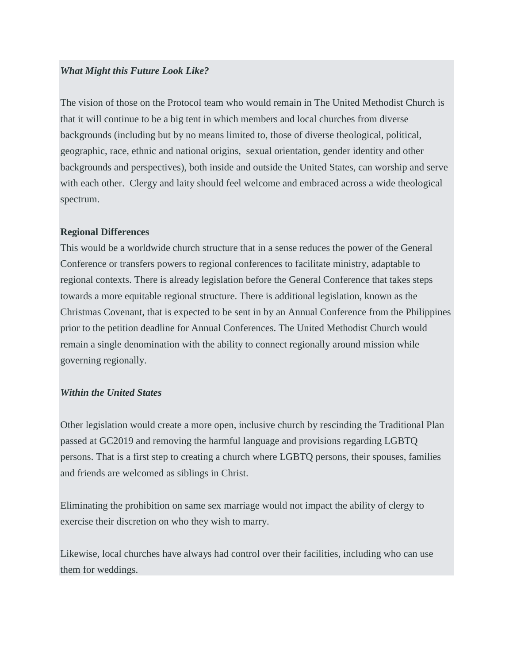#### *What Might this Future Look Like?*

The vision of those on the Protocol team who would remain in The United Methodist Church is that it will continue to be a big tent in which members and local churches from diverse backgrounds (including but by no means limited to, those of diverse theological, political, geographic, race, ethnic and national origins, sexual orientation, gender identity and other backgrounds and perspectives), both inside and outside the United States, can worship and serve with each other. Clergy and laity should feel welcome and embraced across a wide theological spectrum.

#### **Regional Differences**

This would be a worldwide church structure that in a sense reduces the power of the General Conference or transfers powers to regional conferences to facilitate ministry, adaptable to regional contexts. There is already legislation before the General Conference that takes steps towards a more equitable regional structure. There is additional legislation, known as the Christmas Covenant, that is expected to be sent in by an Annual Conference from the Philippines prior to the petition deadline for Annual Conferences. The United Methodist Church would remain a single denomination with the ability to connect regionally around mission while governing regionally.

#### *Within the United States*

Other legislation would create a more open, inclusive church by rescinding the Traditional Plan passed at GC2019 and removing the harmful language and provisions regarding LGBTQ persons. That is a first step to creating a church where LGBTQ persons, their spouses, families and friends are welcomed as siblings in Christ.

Eliminating the prohibition on same sex marriage would not impact the ability of clergy to exercise their discretion on who they wish to marry.

Likewise, local churches have always had control over their facilities, including who can use them for weddings.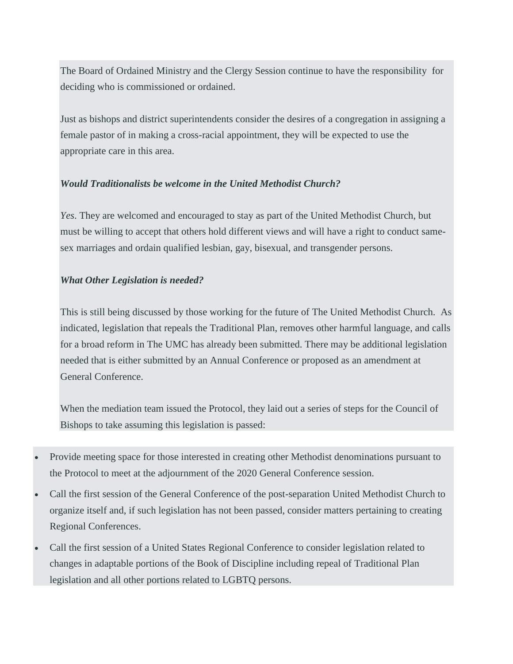The Board of Ordained Ministry and the Clergy Session continue to have the responsibility for deciding who is commissioned or ordained.

Just as bishops and district superintendents consider the desires of a congregation in assigning a female pastor of in making a cross-racial appointment, they will be expected to use the appropriate care in this area.

#### *Would Traditionalists be welcome in the United Methodist Church?*

*Yes*. They are welcomed and encouraged to stay as part of the United Methodist Church, but must be willing to accept that others hold different views and will have a right to conduct samesex marriages and ordain qualified lesbian, gay, bisexual, and transgender persons.

#### *What Other Legislation is needed?*

This is still being discussed by those working for the future of The United Methodist Church. As indicated, legislation that repeals the Traditional Plan, removes other harmful language, and calls for a broad reform in The UMC has already been submitted. There may be additional legislation needed that is either submitted by an Annual Conference or proposed as an amendment at General Conference.

When the mediation team issued the Protocol, they laid out a series of steps for the Council of Bishops to take assuming this legislation is passed:

- Provide meeting space for those interested in creating other Methodist denominations pursuant to the Protocol to meet at the adjournment of the 2020 General Conference session.
- Call the first session of the General Conference of the post-separation United Methodist Church to organize itself and, if such legislation has not been passed, consider matters pertaining to creating Regional Conferences.
- Call the first session of a United States Regional Conference to consider legislation related to changes in adaptable portions of the Book of Discipline including repeal of Traditional Plan legislation and all other portions related to LGBTQ persons.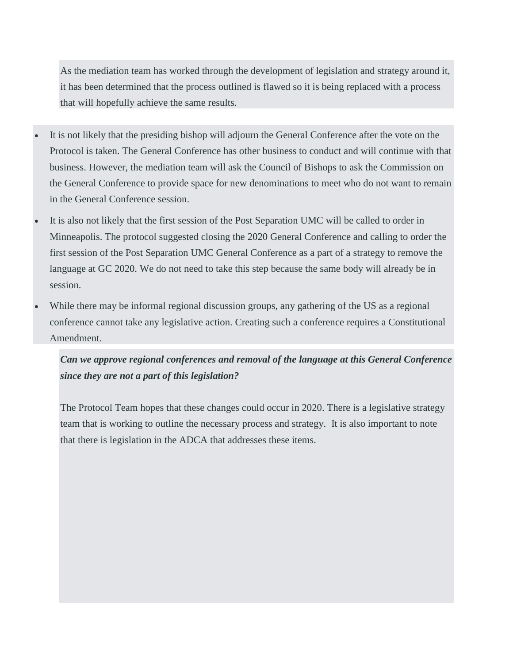As the mediation team has worked through the development of legislation and strategy around it, it has been determined that the process outlined is flawed so it is being replaced with a process that will hopefully achieve the same results.

- It is not likely that the presiding bishop will adjourn the General Conference after the vote on the Protocol is taken. The General Conference has other business to conduct and will continue with that business. However, the mediation team will ask the Council of Bishops to ask the Commission on the General Conference to provide space for new denominations to meet who do not want to remain in the General Conference session.
- It is also not likely that the first session of the Post Separation UMC will be called to order in Minneapolis. The protocol suggested closing the 2020 General Conference and calling to order the first session of the Post Separation UMC General Conference as a part of a strategy to remove the language at GC 2020. We do not need to take this step because the same body will already be in session.
- While there may be informal regional discussion groups, any gathering of the US as a regional conference cannot take any legislative action. Creating such a conference requires a Constitutional Amendment.

*Can we approve regional conferences and removal of the language at this General Conference since they are not a part of this legislation?* 

The Protocol Team hopes that these changes could occur in 2020. There is a legislative strategy team that is working to outline the necessary process and strategy. It is also important to note that there is legislation in the ADCA that addresses these items.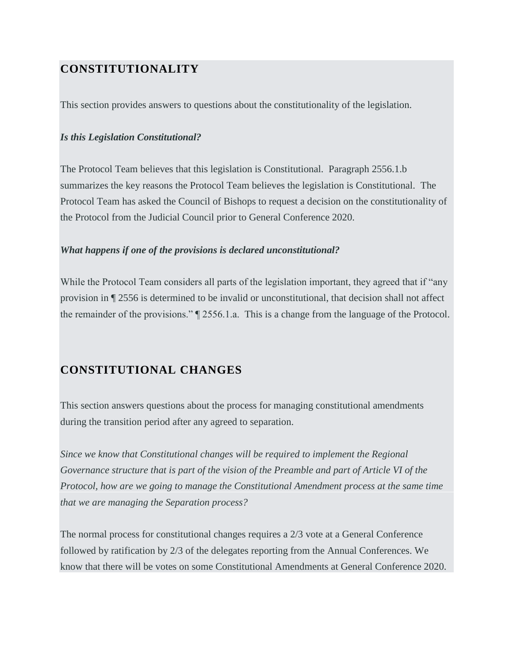## **CONSTITUTIONALITY**

This section provides answers to questions about the constitutionality of the legislation.

#### *Is this Legislation Constitutional?*

The Protocol Team believes that this legislation is Constitutional. Paragraph 2556.1.b summarizes the key reasons the Protocol Team believes the legislation is Constitutional. The Protocol Team has asked the Council of Bishops to request a decision on the constitutionality of the Protocol from the Judicial Council prior to General Conference 2020.

#### *What happens if one of the provisions is declared unconstitutional?*

While the Protocol Team considers all parts of the legislation important, they agreed that if "any" provision in ¶ 2556 is determined to be invalid or unconstitutional, that decision shall not affect the remainder of the provisions." ¶ 2556.1.a. This is a change from the language of the Protocol.

### **CONSTITUTIONAL CHANGES**

This section answers questions about the process for managing constitutional amendments during the transition period after any agreed to separation.

*Since we know that Constitutional changes will be required to implement the Regional Governance structure that is part of the vision of the Preamble and part of Article VI of the Protocol, how are we going to manage the Constitutional Amendment process at the same time that we are managing the Separation process?*

The normal process for constitutional changes requires a 2/3 vote at a General Conference followed by ratification by 2/3 of the delegates reporting from the Annual Conferences. We know that there will be votes on some Constitutional Amendments at General Conference 2020.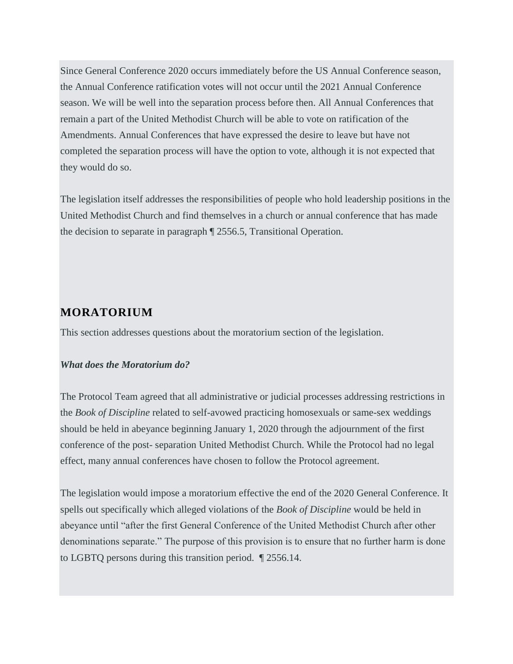Since General Conference 2020 occurs immediately before the US Annual Conference season, the Annual Conference ratification votes will not occur until the 2021 Annual Conference season. We will be well into the separation process before then. All Annual Conferences that remain a part of the United Methodist Church will be able to vote on ratification of the Amendments. Annual Conferences that have expressed the desire to leave but have not completed the separation process will have the option to vote, although it is not expected that they would do so.

The legislation itself addresses the responsibilities of people who hold leadership positions in the United Methodist Church and find themselves in a church or annual conference that has made the decision to separate in paragraph ¶ 2556.5, Transitional Operation.

### **MORATORIUM**

This section addresses questions about the moratorium section of the legislation.

#### *What does the Moratorium do?*

The Protocol Team agreed that all administrative or judicial processes addressing restrictions in the *Book of Discipline* related to self-avowed practicing homosexuals or same-sex weddings should be held in abeyance beginning January 1, 2020 through the adjournment of the first conference of the post- separation United Methodist Church. While the Protocol had no legal effect, many annual conferences have chosen to follow the Protocol agreement.

The legislation would impose a moratorium effective the end of the 2020 General Conference. It spells out specifically which alleged violations of the *Book of Discipline* would be held in abeyance until "after the first General Conference of the United Methodist Church after other denominations separate." The purpose of this provision is to ensure that no further harm is done to LGBTQ persons during this transition period. ¶ 2556.14.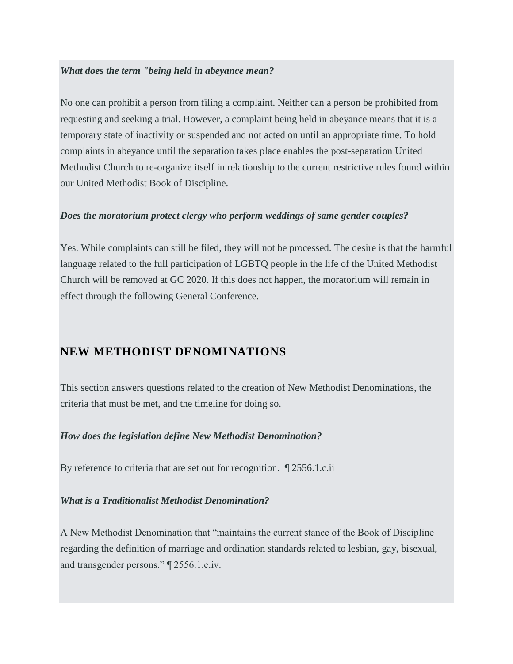#### *What does the term "being held in abeyance mean?*

No one can prohibit a person from filing a complaint. Neither can a person be prohibited from requesting and seeking a trial. However, a complaint being held in abeyance means that it is a temporary state of inactivity or suspended and not acted on until an appropriate time. To hold complaints in abeyance until the separation takes place enables the post-separation United Methodist Church to re-organize itself in relationship to the current restrictive rules found within our United Methodist Book of Discipline.

#### *Does the moratorium protect clergy who perform weddings of same gender couples?*

Yes. While complaints can still be filed, they will not be processed. The desire is that the harmful language related to the full participation of LGBTQ people in the life of the United Methodist Church will be removed at GC 2020. If this does not happen, the moratorium will remain in effect through the following General Conference.

### **NEW METHODIST DENOMINATIONS**

This section answers questions related to the creation of New Methodist Denominations, the criteria that must be met, and the timeline for doing so.

#### *How does the legislation define New Methodist Denomination?*

By reference to criteria that are set out for recognition. ¶ 2556.1.c.ii

#### *What is a Traditionalist Methodist Denomination?*

A New Methodist Denomination that "maintains the current stance of the Book of Discipline regarding the definition of marriage and ordination standards related to lesbian, gay, bisexual, and transgender persons." ¶ 2556.1.c.iv.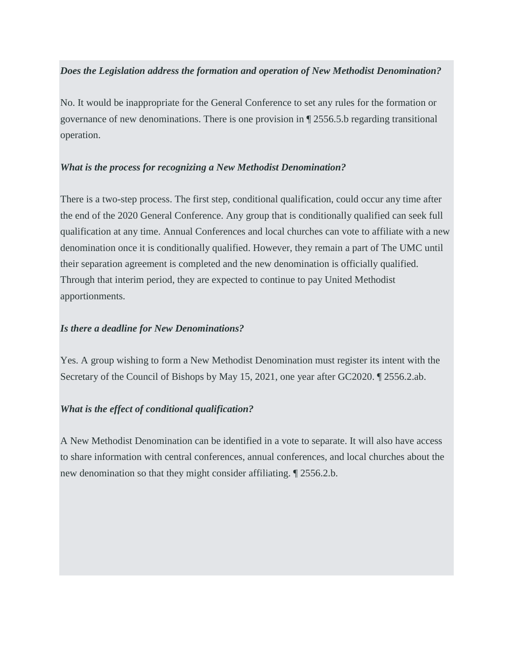#### *Does the Legislation address the formation and operation of New Methodist Denomination?*

No. It would be inappropriate for the General Conference to set any rules for the formation or governance of new denominations. There is one provision in ¶ 2556.5.b regarding transitional operation.

#### *What is the process for recognizing a New Methodist Denomination?*

There is a two-step process. The first step, conditional qualification, could occur any time after the end of the 2020 General Conference. Any group that is conditionally qualified can seek full qualification at any time. Annual Conferences and local churches can vote to affiliate with a new denomination once it is conditionally qualified. However, they remain a part of The UMC until their separation agreement is completed and the new denomination is officially qualified. Through that interim period, they are expected to continue to pay United Methodist apportionments.

#### *Is there a deadline for New Denominations?*

Yes. A group wishing to form a New Methodist Denomination must register its intent with the Secretary of the Council of Bishops by May 15, 2021, one year after GC2020. ¶ 2556.2.ab.

#### *What is the effect of conditional qualification?*

A New Methodist Denomination can be identified in a vote to separate. It will also have access to share information with central conferences, annual conferences, and local churches about the new denomination so that they might consider affiliating. ¶ 2556.2.b.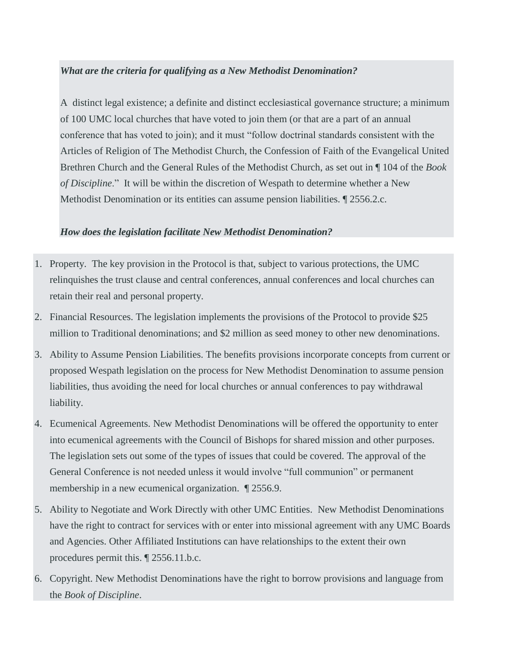#### *What are the criteria for qualifying as a New Methodist Denomination?*

A distinct legal existence; a definite and distinct ecclesiastical governance structure; a minimum of 100 UMC local churches that have voted to join them (or that are a part of an annual conference that has voted to join); and it must "follow doctrinal standards consistent with the Articles of Religion of The Methodist Church, the Confession of Faith of the Evangelical United Brethren Church and the General Rules of the Methodist Church, as set out in ¶ 104 of the *Book of Discipline*." It will be within the discretion of Wespath to determine whether a New Methodist Denomination or its entities can assume pension liabilities. ¶ 2556.2.c.

#### *How does the legislation facilitate New Methodist Denomination?*

- 1. Property. The key provision in the Protocol is that, subject to various protections, the UMC relinquishes the trust clause and central conferences, annual conferences and local churches can retain their real and personal property.
- 2. Financial Resources. The legislation implements the provisions of the Protocol to provide \$25 million to Traditional denominations; and \$2 million as seed money to other new denominations.
- 3. Ability to Assume Pension Liabilities. The benefits provisions incorporate concepts from current or proposed Wespath legislation on the process for New Methodist Denomination to assume pension liabilities, thus avoiding the need for local churches or annual conferences to pay withdrawal liability.
- 4. Ecumenical Agreements. New Methodist Denominations will be offered the opportunity to enter into ecumenical agreements with the Council of Bishops for shared mission and other purposes. The legislation sets out some of the types of issues that could be covered. The approval of the General Conference is not needed unless it would involve "full communion" or permanent membership in a new ecumenical organization. ¶ 2556.9.
- 5. Ability to Negotiate and Work Directly with other UMC Entities. New Methodist Denominations have the right to contract for services with or enter into missional agreement with any UMC Boards and Agencies. Other Affiliated Institutions can have relationships to the extent their own procedures permit this. ¶ 2556.11.b.c.
- 6. Copyright. New Methodist Denominations have the right to borrow provisions and language from the *Book of Discipline*.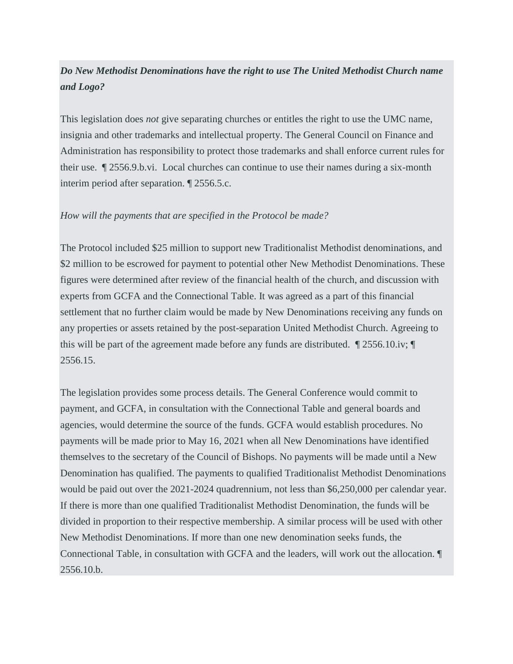## *Do New Methodist Denominations have the right to use The United Methodist Church name and Logo?*

This legislation does *not* give separating churches or entitles the right to use the UMC name, insignia and other trademarks and intellectual property. The General Council on Finance and Administration has responsibility to protect those trademarks and shall enforce current rules for their use. ¶ 2556.9.b.vi. Local churches can continue to use their names during a six-month interim period after separation. ¶ 2556.5.c.

#### *How will the payments that are specified in the Protocol be made?*

The Protocol included \$25 million to support new Traditionalist Methodist denominations, and \$2 million to be escrowed for payment to potential other New Methodist Denominations. These figures were determined after review of the financial health of the church, and discussion with experts from GCFA and the Connectional Table. It was agreed as a part of this financial settlement that no further claim would be made by New Denominations receiving any funds on any properties or assets retained by the post-separation United Methodist Church. Agreeing to this will be part of the agreement made before any funds are distributed. ¶ 2556.10.iv; ¶ 2556.15.

The legislation provides some process details. The General Conference would commit to payment, and GCFA, in consultation with the Connectional Table and general boards and agencies, would determine the source of the funds. GCFA would establish procedures. No payments will be made prior to May 16, 2021 when all New Denominations have identified themselves to the secretary of the Council of Bishops. No payments will be made until a New Denomination has qualified. The payments to qualified Traditionalist Methodist Denominations would be paid out over the 2021-2024 quadrennium, not less than \$6,250,000 per calendar year. If there is more than one qualified Traditionalist Methodist Denomination, the funds will be divided in proportion to their respective membership. A similar process will be used with other New Methodist Denominations. If more than one new denomination seeks funds, the Connectional Table, in consultation with GCFA and the leaders, will work out the allocation. ¶ 2556.10.b.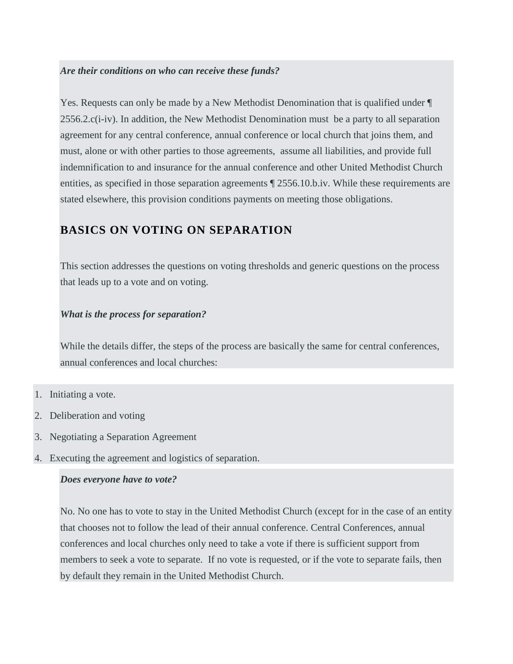#### *Are their conditions on who can receive these funds?*

Yes. Requests can only be made by a New Methodist Denomination that is qualified under ¶ 2556.2.c(i-iv). In addition, the New Methodist Denomination must be a party to all separation agreement for any central conference, annual conference or local church that joins them, and must, alone or with other parties to those agreements, assume all liabilities, and provide full indemnification to and insurance for the annual conference and other United Methodist Church entities, as specified in those separation agreements ¶ 2556.10.b.iv. While these requirements are stated elsewhere, this provision conditions payments on meeting those obligations.

## **BASICS ON VOTING ON SEPARATION**

This section addresses the questions on voting thresholds and generic questions on the process that leads up to a vote and on voting.

#### *What is the process for separation?*

While the details differ, the steps of the process are basically the same for central conferences, annual conferences and local churches:

- 1. Initiating a vote.
- 2. Deliberation and voting
- 3. Negotiating a Separation Agreement
- 4. Executing the agreement and logistics of separation.

#### *Does everyone have to vote?*

No. No one has to vote to stay in the United Methodist Church (except for in the case of an entity that chooses not to follow the lead of their annual conference. Central Conferences, annual conferences and local churches only need to take a vote if there is sufficient support from members to seek a vote to separate. If no vote is requested, or if the vote to separate fails, then by default they remain in the United Methodist Church.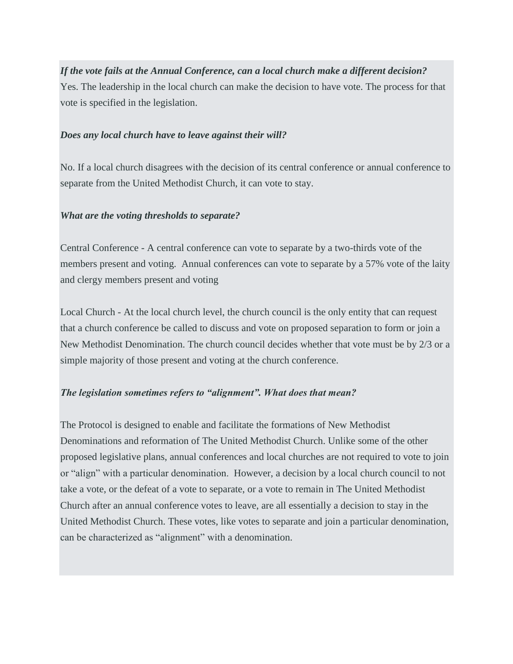*If the vote fails at the Annual Conference, can a local church make a different decision?* Yes. The leadership in the local church can make the decision to have vote. The process for that vote is specified in the legislation.

#### *Does any local church have to leave against their will?*

No. If a local church disagrees with the decision of its central conference or annual conference to separate from the United Methodist Church, it can vote to stay.

#### *What are the voting thresholds to separate?*

Central Conference - A central conference can vote to separate by a two-thirds vote of the members present and voting. Annual conferences can vote to separate by a 57% vote of the laity and clergy members present and voting

Local Church - At the local church level, the church council is the only entity that can request that a church conference be called to discuss and vote on proposed separation to form or join a New Methodist Denomination. The church council decides whether that vote must be by 2/3 or a simple majority of those present and voting at the church conference.

#### *The legislation sometimes refers to "alignment". What does that mean?*

The Protocol is designed to enable and facilitate the formations of New Methodist Denominations and reformation of The United Methodist Church. Unlike some of the other proposed legislative plans, annual conferences and local churches are not required to vote to join or "align" with a particular denomination. However, a decision by a local church council to not take a vote, or the defeat of a vote to separate, or a vote to remain in The United Methodist Church after an annual conference votes to leave, are all essentially a decision to stay in the United Methodist Church. These votes, like votes to separate and join a particular denomination, can be characterized as "alignment" with a denomination.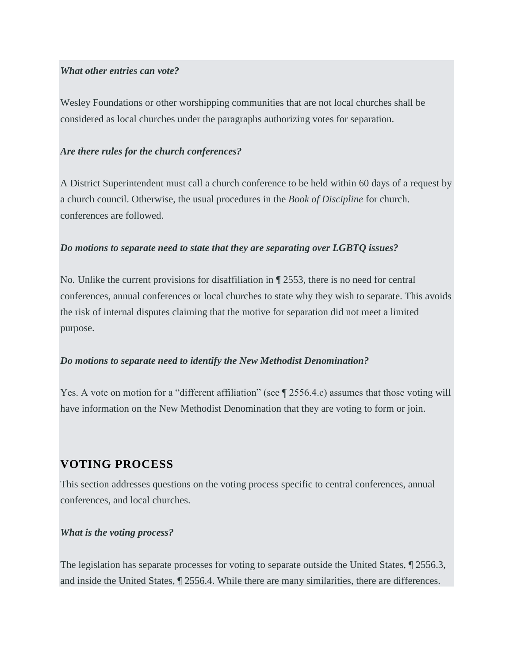#### *What other entries can vote?*

Wesley Foundations or other worshipping communities that are not local churches shall be considered as local churches under the paragraphs authorizing votes for separation.

#### *Are there rules for the church conferences?*

A District Superintendent must call a church conference to be held within 60 days of a request by a church council. Otherwise, the usual procedures in the *Book of Discipline* for church. conferences are followed.

#### *Do motions to separate need to state that they are separating over LGBTQ issues?*

No. Unlike the current provisions for disaffiliation in  $\P$  2553, there is no need for central conferences, annual conferences or local churches to state why they wish to separate. This avoids the risk of internal disputes claiming that the motive for separation did not meet a limited purpose.

#### *Do motions to separate need to identify the New Methodist Denomination?*

Yes. A vote on motion for a "different affiliation" (see  $\parallel$  2556.4.c) assumes that those voting will have information on the New Methodist Denomination that they are voting to form or join.

### **VOTING PROCESS**

This section addresses questions on the voting process specific to central conferences, annual conferences, and local churches.

#### *What is the voting process?*

The legislation has separate processes for voting to separate outside the United States, ¶ 2556.3, and inside the United States, ¶ 2556.4. While there are many similarities, there are differences.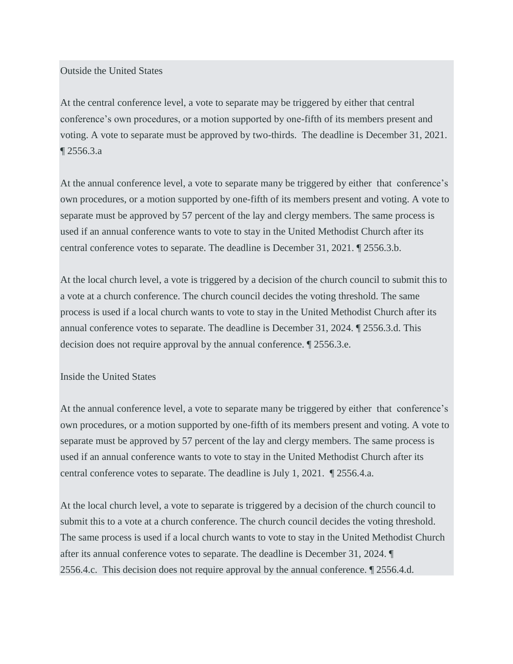Outside the United States

At the central conference level, a vote to separate may be triggered by either that central conference's own procedures, or a motion supported by one-fifth of its members present and voting. A vote to separate must be approved by two-thirds. The deadline is December 31, 2021. ¶ 2556.3.a

At the annual conference level, a vote to separate many be triggered by either that conference's own procedures, or a motion supported by one-fifth of its members present and voting. A vote to separate must be approved by 57 percent of the lay and clergy members. The same process is used if an annual conference wants to vote to stay in the United Methodist Church after its central conference votes to separate. The deadline is December 31, 2021. ¶ 2556.3.b.

At the local church level, a vote is triggered by a decision of the church council to submit this to a vote at a church conference. The church council decides the voting threshold. The same process is used if a local church wants to vote to stay in the United Methodist Church after its annual conference votes to separate. The deadline is December 31, 2024. ¶ 2556.3.d. This decision does not require approval by the annual conference. ¶ 2556.3.e.

#### Inside the United States

At the annual conference level, a vote to separate many be triggered by either that conference's own procedures, or a motion supported by one-fifth of its members present and voting. A vote to separate must be approved by 57 percent of the lay and clergy members. The same process is used if an annual conference wants to vote to stay in the United Methodist Church after its central conference votes to separate. The deadline is July 1, 2021. ¶ 2556.4.a.

At the local church level, a vote to separate is triggered by a decision of the church council to submit this to a vote at a church conference. The church council decides the voting threshold. The same process is used if a local church wants to vote to stay in the United Methodist Church after its annual conference votes to separate. The deadline is December 31, 2024. ¶ 2556.4.c. This decision does not require approval by the annual conference. ¶ 2556.4.d.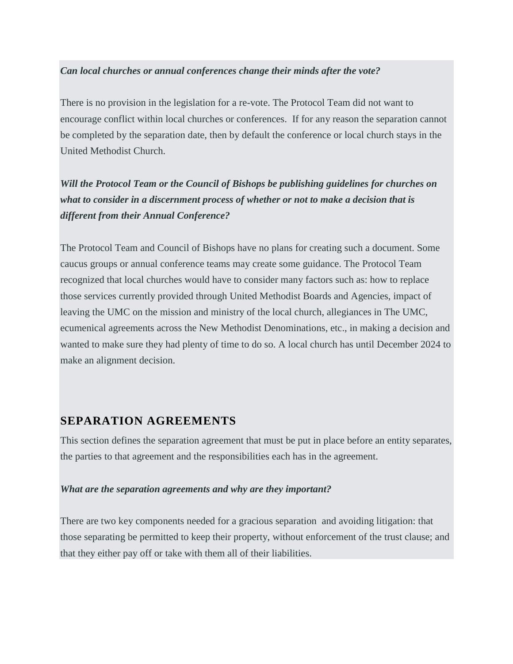#### *Can local churches or annual conferences change their minds after the vote?*

There is no provision in the legislation for a re-vote. The Protocol Team did not want to encourage conflict within local churches or conferences. If for any reason the separation cannot be completed by the separation date, then by default the conference or local church stays in the United Methodist Church.

*Will the Protocol Team or the Council of Bishops be publishing guidelines for churches on what to consider in a discernment process of whether or not to make a decision that is different from their Annual Conference?*

The Protocol Team and Council of Bishops have no plans for creating such a document. Some caucus groups or annual conference teams may create some guidance. The Protocol Team recognized that local churches would have to consider many factors such as: how to replace those services currently provided through United Methodist Boards and Agencies, impact of leaving the UMC on the mission and ministry of the local church, allegiances in The UMC, ecumenical agreements across the New Methodist Denominations, etc., in making a decision and wanted to make sure they had plenty of time to do so. A local church has until December 2024 to make an alignment decision.

### **SEPARATION AGREEMENTS**

This section defines the separation agreement that must be put in place before an entity separates, the parties to that agreement and the responsibilities each has in the agreement.

#### *What are the separation agreements and why are they important?*

There are two key components needed for a gracious separation and avoiding litigation: that those separating be permitted to keep their property, without enforcement of the trust clause; and that they either pay off or take with them all of their liabilities.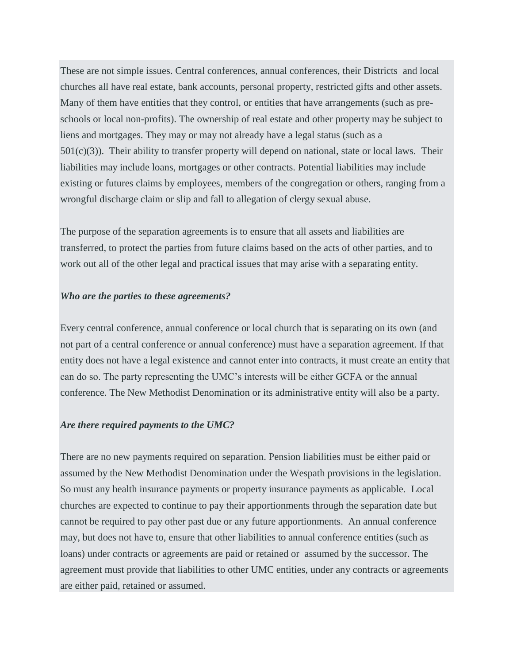These are not simple issues. Central conferences, annual conferences, their Districts and local churches all have real estate, bank accounts, personal property, restricted gifts and other assets. Many of them have entities that they control, or entities that have arrangements (such as preschools or local non-profits). The ownership of real estate and other property may be subject to liens and mortgages. They may or may not already have a legal status (such as a  $501(c)(3)$ ). Their ability to transfer property will depend on national, state or local laws. Their liabilities may include loans, mortgages or other contracts. Potential liabilities may include existing or futures claims by employees, members of the congregation or others, ranging from a wrongful discharge claim or slip and fall to allegation of clergy sexual abuse.

The purpose of the separation agreements is to ensure that all assets and liabilities are transferred, to protect the parties from future claims based on the acts of other parties, and to work out all of the other legal and practical issues that may arise with a separating entity.

#### *Who are the parties to these agreements?*

Every central conference, annual conference or local church that is separating on its own (and not part of a central conference or annual conference) must have a separation agreement. If that entity does not have a legal existence and cannot enter into contracts, it must create an entity that can do so. The party representing the UMC's interests will be either GCFA or the annual conference. The New Methodist Denomination or its administrative entity will also be a party.

#### *Are there required payments to the UMC?*

There are no new payments required on separation. Pension liabilities must be either paid or assumed by the New Methodist Denomination under the Wespath provisions in the legislation. So must any health insurance payments or property insurance payments as applicable. Local churches are expected to continue to pay their apportionments through the separation date but cannot be required to pay other past due or any future apportionments. An annual conference may, but does not have to, ensure that other liabilities to annual conference entities (such as loans) under contracts or agreements are paid or retained or assumed by the successor. The agreement must provide that liabilities to other UMC entities, under any contracts or agreements are either paid, retained or assumed.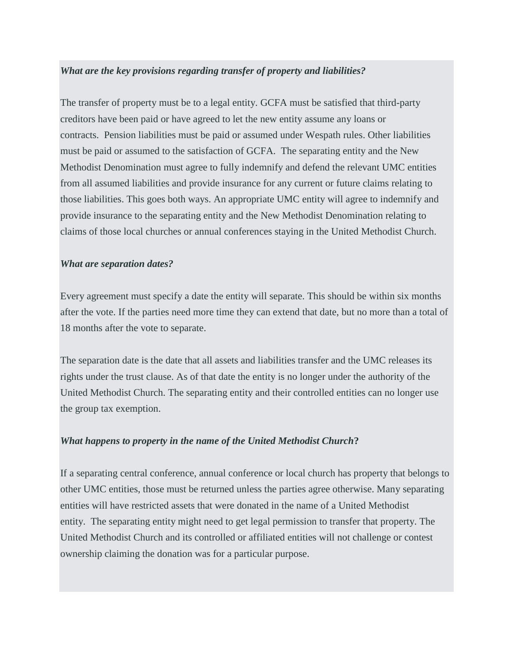#### *What are the key provisions regarding transfer of property and liabilities?*

The transfer of property must be to a legal entity. GCFA must be satisfied that third-party creditors have been paid or have agreed to let the new entity assume any loans or contracts. Pension liabilities must be paid or assumed under Wespath rules. Other liabilities must be paid or assumed to the satisfaction of GCFA. The separating entity and the New Methodist Denomination must agree to fully indemnify and defend the relevant UMC entities from all assumed liabilities and provide insurance for any current or future claims relating to those liabilities. This goes both ways. An appropriate UMC entity will agree to indemnify and provide insurance to the separating entity and the New Methodist Denomination relating to claims of those local churches or annual conferences staying in the United Methodist Church.

#### *What are separation dates?*

Every agreement must specify a date the entity will separate. This should be within six months after the vote. If the parties need more time they can extend that date, but no more than a total of 18 months after the vote to separate.

The separation date is the date that all assets and liabilities transfer and the UMC releases its rights under the trust clause. As of that date the entity is no longer under the authority of the United Methodist Church. The separating entity and their controlled entities can no longer use the group tax exemption.

#### *What happens to property in the name of the United Methodist Church***?**

If a separating central conference, annual conference or local church has property that belongs to other UMC entities, those must be returned unless the parties agree otherwise. Many separating entities will have restricted assets that were donated in the name of a United Methodist entity. The separating entity might need to get legal permission to transfer that property. The United Methodist Church and its controlled or affiliated entities will not challenge or contest ownership claiming the donation was for a particular purpose.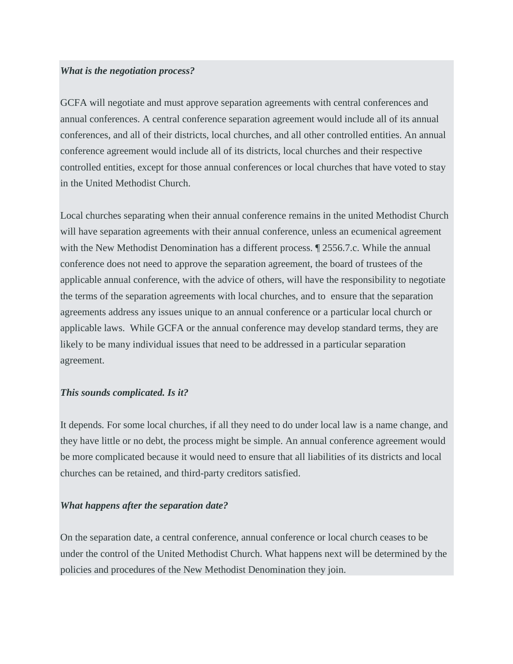#### *What is the negotiation process?*

GCFA will negotiate and must approve separation agreements with central conferences and annual conferences. A central conference separation agreement would include all of its annual conferences, and all of their districts, local churches, and all other controlled entities. An annual conference agreement would include all of its districts, local churches and their respective controlled entities, except for those annual conferences or local churches that have voted to stay in the United Methodist Church.

Local churches separating when their annual conference remains in the united Methodist Church will have separation agreements with their annual conference, unless an ecumenical agreement with the New Methodist Denomination has a different process. ¶ 2556.7.c. While the annual conference does not need to approve the separation agreement, the board of trustees of the applicable annual conference, with the advice of others, will have the responsibility to negotiate the terms of the separation agreements with local churches, and to ensure that the separation agreements address any issues unique to an annual conference or a particular local church or applicable laws. While GCFA or the annual conference may develop standard terms, they are likely to be many individual issues that need to be addressed in a particular separation agreement.

#### *This sounds complicated. Is it?*

It depends*.* For some local churches, if all they need to do under local law is a name change, and they have little or no debt, the process might be simple. An annual conference agreement would be more complicated because it would need to ensure that all liabilities of its districts and local churches can be retained, and third-party creditors satisfied.

#### *What happens after the separation date?*

On the separation date, a central conference, annual conference or local church ceases to be under the control of the United Methodist Church. What happens next will be determined by the policies and procedures of the New Methodist Denomination they join.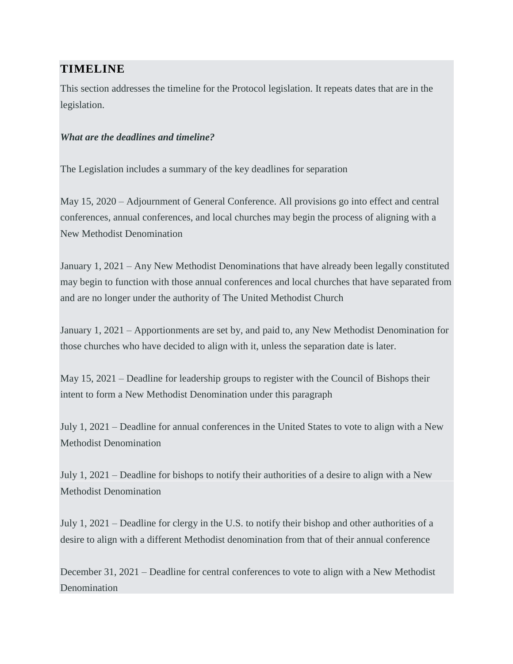## **TIMELINE**

This section addresses the timeline for the Protocol legislation. It repeats dates that are in the legislation.

#### *What are the deadlines and timeline?*

The Legislation includes a summary of the key deadlines for separation

May 15, 2020 – Adjournment of General Conference. All provisions go into effect and central conferences, annual conferences, and local churches may begin the process of aligning with a New Methodist Denomination

January 1, 2021 – Any New Methodist Denominations that have already been legally constituted may begin to function with those annual conferences and local churches that have separated from and are no longer under the authority of The United Methodist Church

January 1, 2021 – Apportionments are set by, and paid to, any New Methodist Denomination for those churches who have decided to align with it, unless the separation date is later.

May 15, 2021 – Deadline for leadership groups to register with the Council of Bishops their intent to form a New Methodist Denomination under this paragraph

July 1, 2021 – Deadline for annual conferences in the United States to vote to align with a New Methodist Denomination

July 1, 2021 – Deadline for bishops to notify their authorities of a desire to align with a New Methodist Denomination

July 1, 2021 – Deadline for clergy in the U.S. to notify their bishop and other authorities of a desire to align with a different Methodist denomination from that of their annual conference

December 31, 2021 – Deadline for central conferences to vote to align with a New Methodist **Denomination**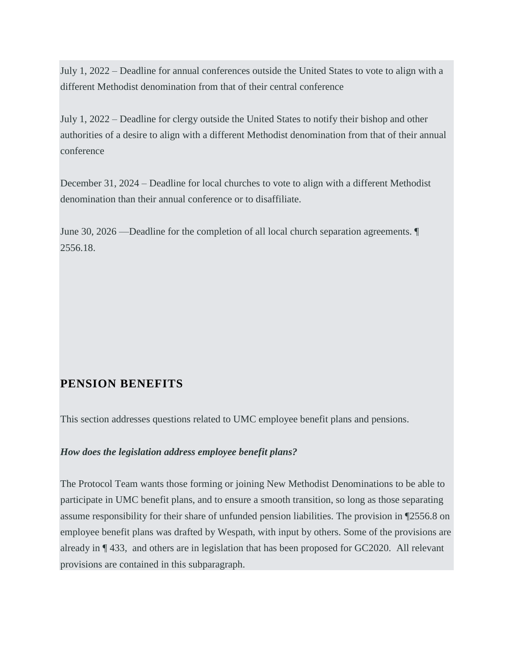July 1, 2022 – Deadline for annual conferences outside the United States to vote to align with a different Methodist denomination from that of their central conference

July 1, 2022 – Deadline for clergy outside the United States to notify their bishop and other authorities of a desire to align with a different Methodist denomination from that of their annual conference

December 31, 2024 – Deadline for local churches to vote to align with a different Methodist denomination than their annual conference or to disaffiliate.

June 30, 2026 —Deadline for the completion of all local church separation agreements. ¶ 2556.18.

### **PENSION BENEFITS**

This section addresses questions related to UMC employee benefit plans and pensions.

#### *How does the legislation address employee benefit plans?*

The Protocol Team wants those forming or joining New Methodist Denominations to be able to participate in UMC benefit plans, and to ensure a smooth transition, so long as those separating assume responsibility for their share of unfunded pension liabilities. The provision in ¶2556.8 on employee benefit plans was drafted by Wespath, with input by others. Some of the provisions are already in ¶ 433, and others are in legislation that has been proposed for GC2020. All relevant provisions are contained in this subparagraph.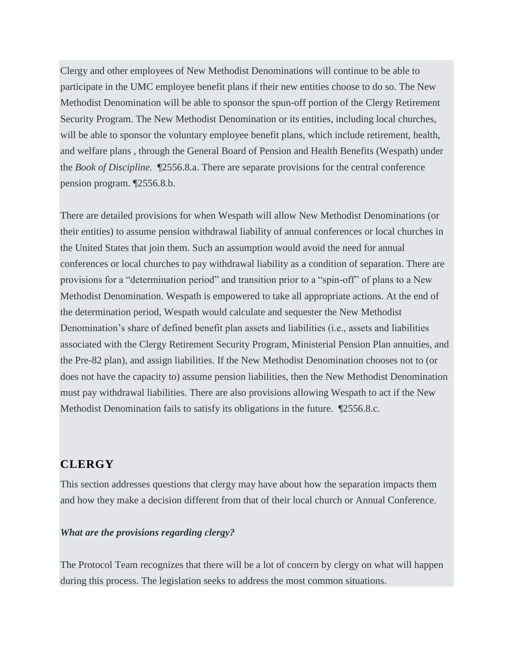Clergy and other employees of New Methodist Denominations will continue to be able to participate in the UMC employee benefit plans if their new entities choose to do so. The New Methodist Denomination will be able to sponsor the spun-off portion of the Clergy Retirement Security Program. The New Methodist Denomination or its entities, including local churches, will be able to sponsor the voluntary employee benefit plans, which include retirement, health, and welfare plans , through the General Board of Pension and Health Benefits (Wespath) under the *Book of Discipline.* ¶2556.8.a. There are separate provisions for the central conference pension program. ¶2556.8.b.

There are detailed provisions for when Wespath will allow New Methodist Denominations (or their entities) to assume pension withdrawal liability of annual conferences or local churches in the United States that join them. Such an assumption would avoid the need for annual conferences or local churches to pay withdrawal liability as a condition of separation. There are provisions for a "determination period" and transition prior to a "spin-off" of plans to a New Methodist Denomination. Wespath is empowered to take all appropriate actions. At the end of the determination period, Wespath would calculate and sequester the New Methodist Denomination's share of defined benefit plan assets and liabilities (i.e., assets and liabilities associated with the Clergy Retirement Security Program, Ministerial Pension Plan annuities, and the Pre-82 plan), and assign liabilities. If the New Methodist Denomination chooses not to (or does not have the capacity to) assume pension liabilities, then the New Methodist Denomination must pay withdrawal liabilities. There are also provisions allowing Wespath to act if the New Methodist Denomination fails to satisfy its obligations in the future. ¶2556.8.c.

#### **CLERGY**

This section addresses questions that clergy may have about how the separation impacts them and how they make a decision different from that of their local church or Annual Conference.

#### *What are the provisions regarding clergy?*

The Protocol Team recognizes that there will be a lot of concern by clergy on what will happen during this process. The legislation seeks to address the most common situations.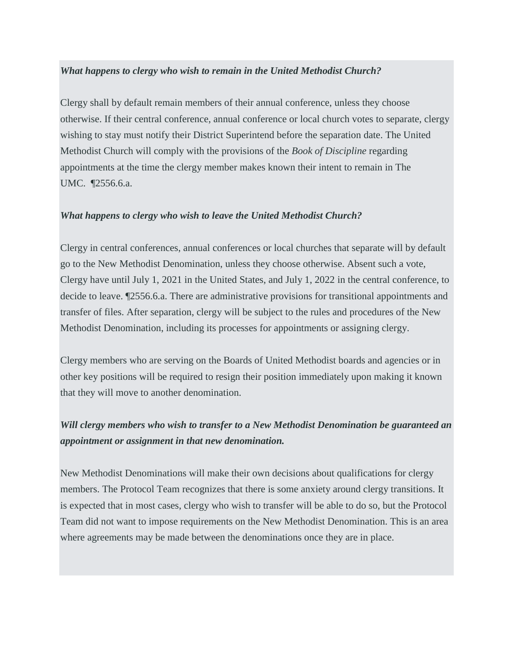#### *What happens to clergy who wish to remain in the United Methodist Church?*

Clergy shall by default remain members of their annual conference, unless they choose otherwise. If their central conference, annual conference or local church votes to separate, clergy wishing to stay must notify their District Superintend before the separation date. The United Methodist Church will comply with the provisions of the *Book of Discipline* regarding appointments at the time the clergy member makes known their intent to remain in The UMC. ¶2556.6.a.

#### *What happens to clergy who wish to leave the United Methodist Church?*

Clergy in central conferences, annual conferences or local churches that separate will by default go to the New Methodist Denomination, unless they choose otherwise. Absent such a vote, Clergy have until July 1, 2021 in the United States, and July 1, 2022 in the central conference, to decide to leave. ¶2556.6.a. There are administrative provisions for transitional appointments and transfer of files. After separation, clergy will be subject to the rules and procedures of the New Methodist Denomination, including its processes for appointments or assigning clergy.

Clergy members who are serving on the Boards of United Methodist boards and agencies or in other key positions will be required to resign their position immediately upon making it known that they will move to another denomination.

## *Will clergy members who wish to transfer to a New Methodist Denomination be guaranteed an appointment or assignment in that new denomination.*

New Methodist Denominations will make their own decisions about qualifications for clergy members. The Protocol Team recognizes that there is some anxiety around clergy transitions. It is expected that in most cases, clergy who wish to transfer will be able to do so, but the Protocol Team did not want to impose requirements on the New Methodist Denomination. This is an area where agreements may be made between the denominations once they are in place.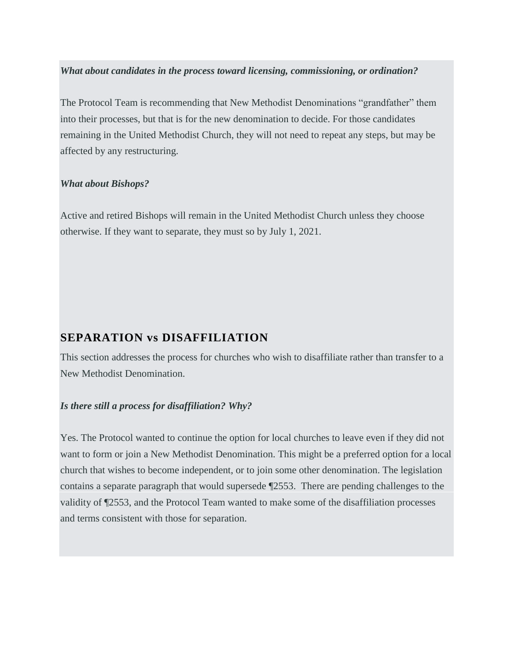#### *What about candidates in the process toward licensing, commissioning, or ordination?*

The Protocol Team is recommending that New Methodist Denominations "grandfather" them into their processes, but that is for the new denomination to decide. For those candidates remaining in the United Methodist Church, they will not need to repeat any steps, but may be affected by any restructuring.

#### *What about Bishops?*

Active and retired Bishops will remain in the United Methodist Church unless they choose otherwise. If they want to separate, they must so by July 1, 2021.

### **SEPARATION vs DISAFFILIATION**

This section addresses the process for churches who wish to disaffiliate rather than transfer to a New Methodist Denomination.

#### *Is there still a process for disaffiliation? Why?*

Yes. The Protocol wanted to continue the option for local churches to leave even if they did not want to form or join a New Methodist Denomination. This might be a preferred option for a local church that wishes to become independent, or to join some other denomination. The legislation contains a separate paragraph that would supersede ¶2553. There are pending challenges to the validity of ¶2553, and the Protocol Team wanted to make some of the disaffiliation processes and terms consistent with those for separation.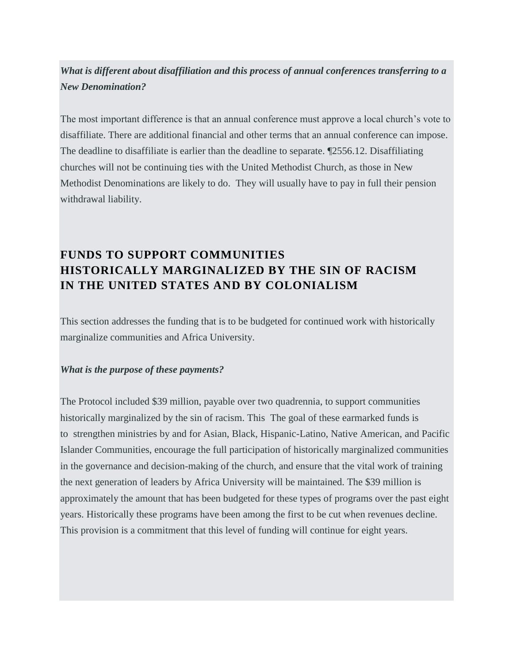## *What is different about disaffiliation and this process of annual conferences transferring to a New Denomination?*

The most important difference is that an annual conference must approve a local church's vote to disaffiliate. There are additional financial and other terms that an annual conference can impose. The deadline to disaffiliate is earlier than the deadline to separate. ¶2556.12. Disaffiliating churches will not be continuing ties with the United Methodist Church, as those in New Methodist Denominations are likely to do. They will usually have to pay in full their pension withdrawal liability.

# **FUNDS TO SUPPORT COMMUNITIES HISTORICALLY MARGINALIZED BY THE SIN OF RACISM IN THE UNITED STATES AND BY COLONIALISM**

This section addresses the funding that is to be budgeted for continued work with historically marginalize communities and Africa University.

#### *What is the purpose of these payments?*

The Protocol included \$39 million, payable over two quadrennia, to support communities historically marginalized by the sin of racism. This The goal of these earmarked funds is to strengthen ministries by and for Asian, Black, Hispanic-Latino, Native American, and Pacific Islander Communities, encourage the full participation of historically marginalized communities in the governance and decision-making of the church, and ensure that the vital work of training the next generation of leaders by Africa University will be maintained. The \$39 million is approximately the amount that has been budgeted for these types of programs over the past eight years. Historically these programs have been among the first to be cut when revenues decline. This provision is a commitment that this level of funding will continue for eight years.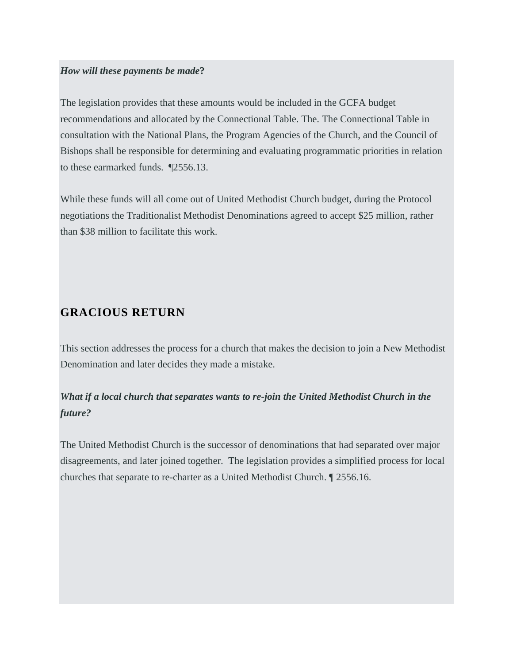#### *How will these payments be made***?**

The legislation provides that these amounts would be included in the GCFA budget recommendations and allocated by the Connectional Table. The. The Connectional Table in consultation with the National Plans, the Program Agencies of the Church, and the Council of Bishops shall be responsible for determining and evaluating programmatic priorities in relation to these earmarked funds. ¶2556.13.

While these funds will all come out of United Methodist Church budget, during the Protocol negotiations the Traditionalist Methodist Denominations agreed to accept \$25 million, rather than \$38 million to facilitate this work.

### **GRACIOUS RETURN**

This section addresses the process for a church that makes the decision to join a New Methodist Denomination and later decides they made a mistake.

## *What if a local church that separates wants to re-join the United Methodist Church in the future?*

The United Methodist Church is the successor of denominations that had separated over major disagreements, and later joined together. The legislation provides a simplified process for local churches that separate to re-charter as a United Methodist Church. ¶ 2556.16.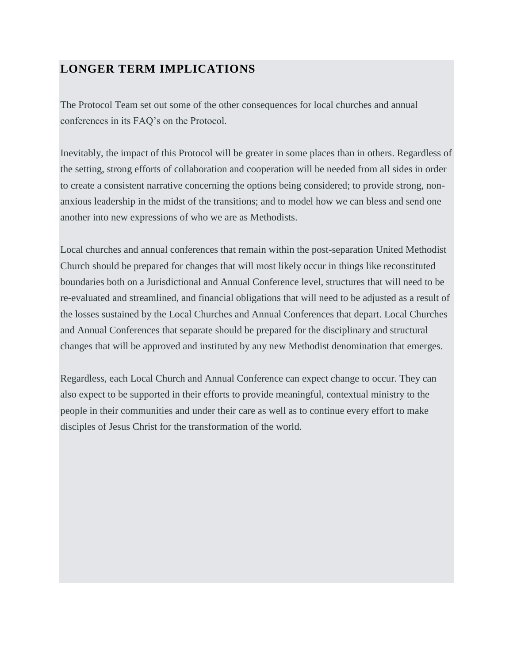## **LONGER TERM IMPLICATIONS**

The Protocol Team set out some of the other consequences for local churches and annual conferences in its FAQ's on the Protocol.

Inevitably, the impact of this Protocol will be greater in some places than in others. Regardless of the setting, strong efforts of collaboration and cooperation will be needed from all sides in order to create a consistent narrative concerning the options being considered; to provide strong, nonanxious leadership in the midst of the transitions; and to model how we can bless and send one another into new expressions of who we are as Methodists.

Local churches and annual conferences that remain within the post-separation United Methodist Church should be prepared for changes that will most likely occur in things like reconstituted boundaries both on a Jurisdictional and Annual Conference level, structures that will need to be re-evaluated and streamlined, and financial obligations that will need to be adjusted as a result of the losses sustained by the Local Churches and Annual Conferences that depart. Local Churches and Annual Conferences that separate should be prepared for the disciplinary and structural changes that will be approved and instituted by any new Methodist denomination that emerges.

Regardless, each Local Church and Annual Conference can expect change to occur. They can also expect to be supported in their efforts to provide meaningful, contextual ministry to the people in their communities and under their care as well as to continue every effort to make disciples of Jesus Christ for the transformation of the world.